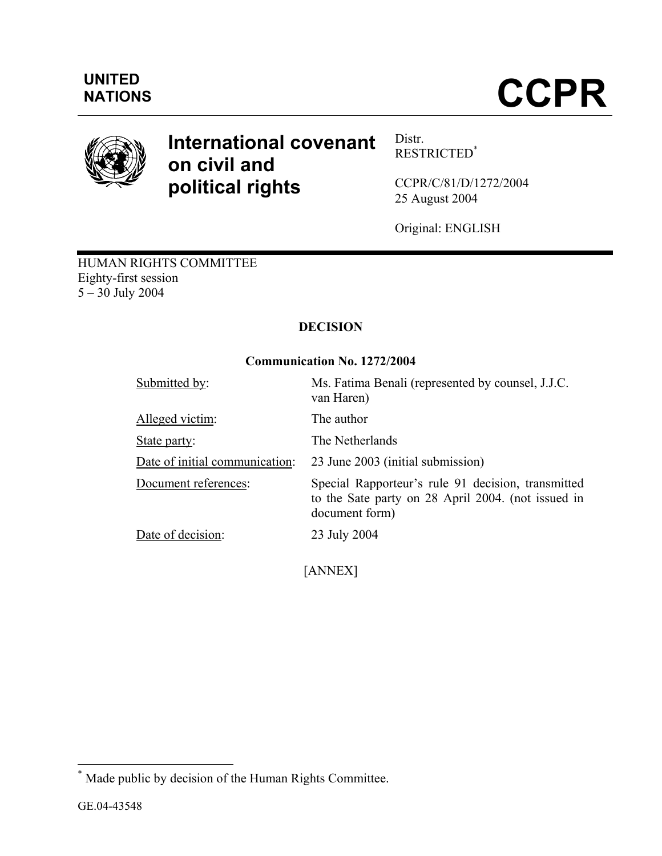

# **International covenant on civil and political rights**

Distr. RESTRICTED\*

CCPR/C/81/D/1272/2004 25 August 2004

Original: ENGLISH

HUMAN RIGHTS COMMITTEE Eighty-first session 5 – 30 July 2004

# **DECISION**

# **Communication No. 1272/2004**

| Submitted by:                  | Ms. Fatima Benali (represented by counsel, J.J.C.<br>van Haren)                                                            |
|--------------------------------|----------------------------------------------------------------------------------------------------------------------------|
| Alleged victim:                | The author                                                                                                                 |
| State party:                   | The Netherlands                                                                                                            |
| Date of initial communication: | 23 June 2003 (initial submission)                                                                                          |
| Document references:           | Special Rapporteur's rule 91 decision, transmitted<br>to the Sate party on 28 April 2004. (not issued in<br>document form) |
| Date of decision:              | 23 July 2004                                                                                                               |

[ANNEX]

 $\overline{a}$ 

<sup>\*</sup> Made public by decision of the Human Rights Committee.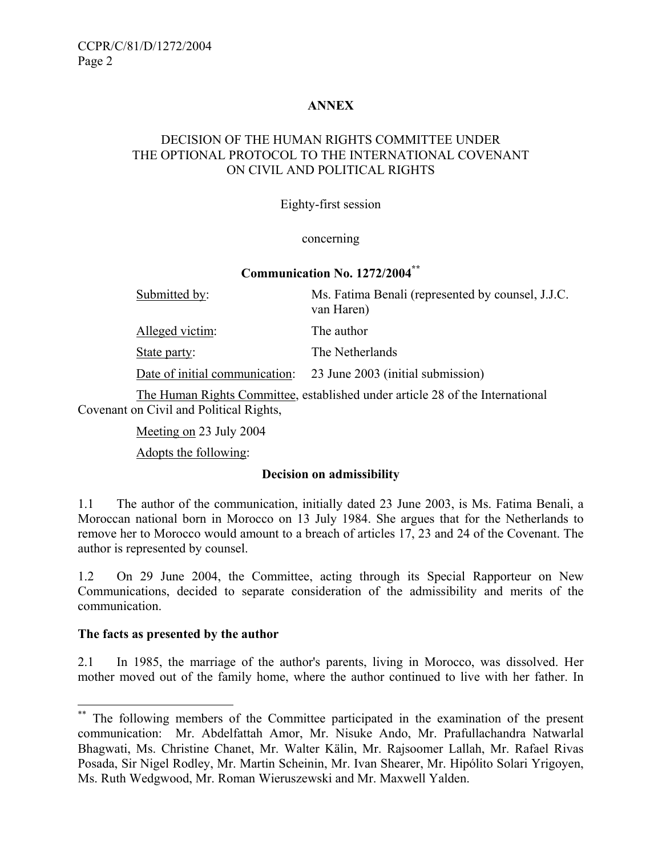# **ANNEX**

# DECISION OF THE HUMAN RIGHTS COMMITTEE UNDER THE OPTIONAL PROTOCOL TO THE INTERNATIONAL COVENANT ON CIVIL AND POLITICAL RIGHTS

#### Eighty-first session

#### concerning

#### **Communication No. 1272/2004\*\***

| Submitted by:                  | Ms. Fatima Benali (represented by counsel, J.J.C.<br>van Haren) |
|--------------------------------|-----------------------------------------------------------------|
| Alleged victim:                | The author                                                      |
| State party:                   | The Netherlands                                                 |
| Date of initial communication: | 23 June 2003 (initial submission)                               |

 The Human Rights Committee, established under article 28 of the International Covenant on Civil and Political Rights,

Meeting on 23 July 2004

Adopts the following:

#### **Decision on admissibility**

1.1 The author of the communication, initially dated 23 June 2003, is Ms. Fatima Benali, a Moroccan national born in Morocco on 13 July 1984. She argues that for the Netherlands to remove her to Morocco would amount to a breach of articles 17, 23 and 24 of the Covenant. The author is represented by counsel.

1.2 On 29 June 2004, the Committee, acting through its Special Rapporteur on New Communications, decided to separate consideration of the admissibility and merits of the communication.

#### **The facts as presented by the author**

 $\overline{a}$ 

2.1 In 1985, the marriage of the author's parents, living in Morocco, was dissolved. Her mother moved out of the family home, where the author continued to live with her father. In

The following members of the Committee participated in the examination of the present communication: Mr. Abdelfattah Amor, Mr. Nisuke Ando, Mr. Prafullachandra Natwarlal Bhagwati, Ms. Christine Chanet, Mr. Walter Kälin, Mr. Rajsoomer Lallah, Mr. Rafael Rivas Posada, Sir Nigel Rodley, Mr. Martin Scheinin, Mr. Ivan Shearer, Mr. Hipólito Solari Yrigoyen, Ms. Ruth Wedgwood, Mr. Roman Wieruszewski and Mr. Maxwell Yalden.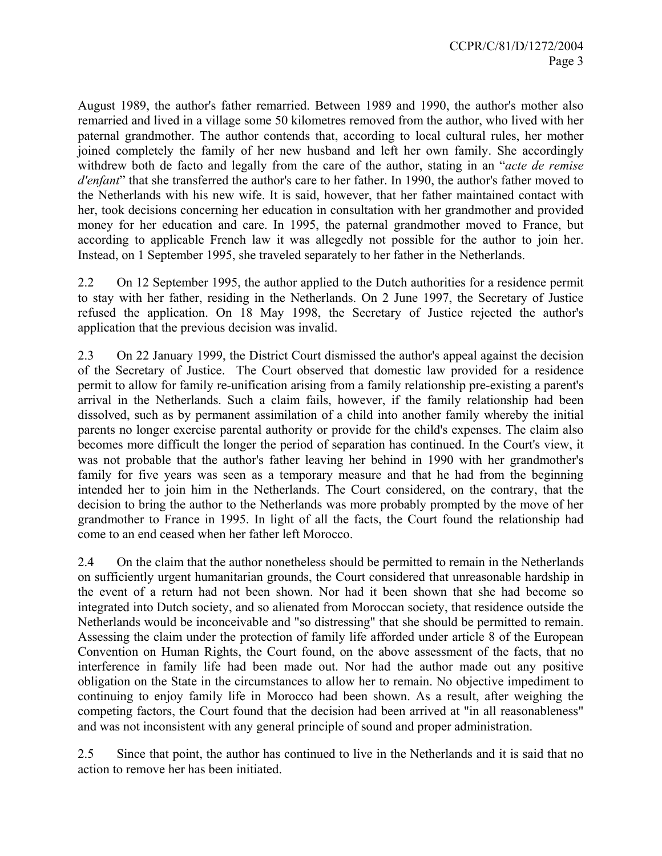August 1989, the author's father remarried. Between 1989 and 1990, the author's mother also remarried and lived in a village some 50 kilometres removed from the author, who lived with her paternal grandmother. The author contends that, according to local cultural rules, her mother joined completely the family of her new husband and left her own family. She accordingly withdrew both de facto and legally from the care of the author, stating in an "*acte de remise d'enfant*" that she transferred the author's care to her father. In 1990, the author's father moved to the Netherlands with his new wife. It is said, however, that her father maintained contact with her, took decisions concerning her education in consultation with her grandmother and provided money for her education and care. In 1995, the paternal grandmother moved to France, but according to applicable French law it was allegedly not possible for the author to join her. Instead, on 1 September 1995, she traveled separately to her father in the Netherlands.

2.2 On 12 September 1995, the author applied to the Dutch authorities for a residence permit to stay with her father, residing in the Netherlands. On 2 June 1997, the Secretary of Justice refused the application. On 18 May 1998, the Secretary of Justice rejected the author's application that the previous decision was invalid.

2.3 On 22 January 1999, the District Court dismissed the author's appeal against the decision of the Secretary of Justice. The Court observed that domestic law provided for a residence permit to allow for family re-unification arising from a family relationship pre-existing a parent's arrival in the Netherlands. Such a claim fails, however, if the family relationship had been dissolved, such as by permanent assimilation of a child into another family whereby the initial parents no longer exercise parental authority or provide for the child's expenses. The claim also becomes more difficult the longer the period of separation has continued. In the Court's view, it was not probable that the author's father leaving her behind in 1990 with her grandmother's family for five years was seen as a temporary measure and that he had from the beginning intended her to join him in the Netherlands. The Court considered, on the contrary, that the decision to bring the author to the Netherlands was more probably prompted by the move of her grandmother to France in 1995. In light of all the facts, the Court found the relationship had come to an end ceased when her father left Morocco.

2.4 On the claim that the author nonetheless should be permitted to remain in the Netherlands on sufficiently urgent humanitarian grounds, the Court considered that unreasonable hardship in the event of a return had not been shown. Nor had it been shown that she had become so integrated into Dutch society, and so alienated from Moroccan society, that residence outside the Netherlands would be inconceivable and "so distressing" that she should be permitted to remain. Assessing the claim under the protection of family life afforded under article 8 of the European Convention on Human Rights, the Court found, on the above assessment of the facts, that no interference in family life had been made out. Nor had the author made out any positive obligation on the State in the circumstances to allow her to remain. No objective impediment to continuing to enjoy family life in Morocco had been shown. As a result, after weighing the competing factors, the Court found that the decision had been arrived at "in all reasonableness" and was not inconsistent with any general principle of sound and proper administration.

2.5 Since that point, the author has continued to live in the Netherlands and it is said that no action to remove her has been initiated.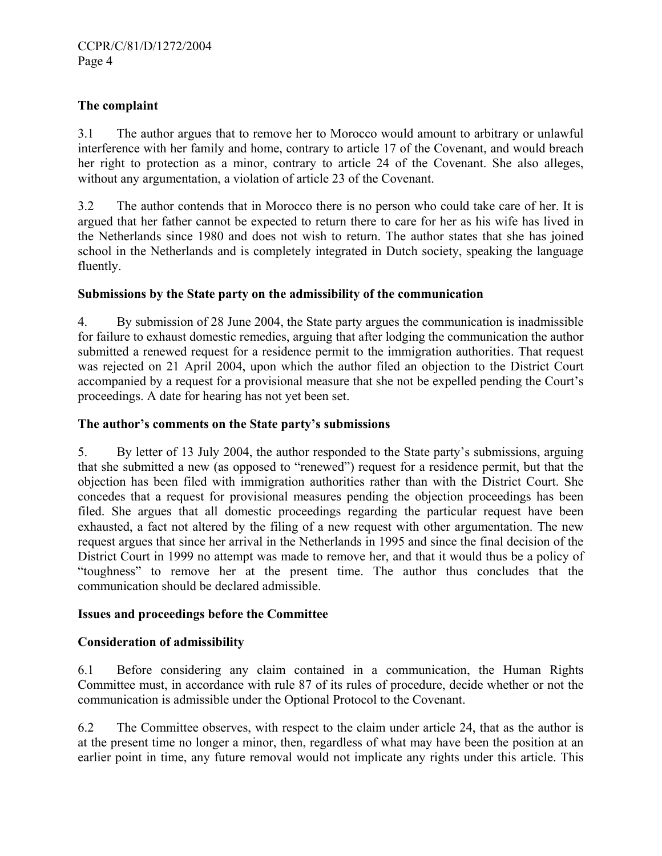### **The complaint**

3.1 The author argues that to remove her to Morocco would amount to arbitrary or unlawful interference with her family and home, contrary to article 17 of the Covenant, and would breach her right to protection as a minor, contrary to article 24 of the Covenant. She also alleges, without any argumentation, a violation of article 23 of the Covenant.

3.2 The author contends that in Morocco there is no person who could take care of her. It is argued that her father cannot be expected to return there to care for her as his wife has lived in the Netherlands since 1980 and does not wish to return. The author states that she has joined school in the Netherlands and is completely integrated in Dutch society, speaking the language fluently.

#### **Submissions by the State party on the admissibility of the communication**

4. By submission of 28 June 2004, the State party argues the communication is inadmissible for failure to exhaust domestic remedies, arguing that after lodging the communication the author submitted a renewed request for a residence permit to the immigration authorities. That request was rejected on 21 April 2004, upon which the author filed an objection to the District Court accompanied by a request for a provisional measure that she not be expelled pending the Court's proceedings. A date for hearing has not yet been set.

#### **The author's comments on the State party's submissions**

5. By letter of 13 July 2004, the author responded to the State party's submissions, arguing that she submitted a new (as opposed to "renewed") request for a residence permit, but that the objection has been filed with immigration authorities rather than with the District Court. She concedes that a request for provisional measures pending the objection proceedings has been filed. She argues that all domestic proceedings regarding the particular request have been exhausted, a fact not altered by the filing of a new request with other argumentation. The new request argues that since her arrival in the Netherlands in 1995 and since the final decision of the District Court in 1999 no attempt was made to remove her, and that it would thus be a policy of "toughness" to remove her at the present time. The author thus concludes that the communication should be declared admissible.

#### **Issues and proceedings before the Committee**

# **Consideration of admissibility**

6.1 Before considering any claim contained in a communication, the Human Rights Committee must, in accordance with rule 87 of its rules of procedure, decide whether or not the communication is admissible under the Optional Protocol to the Covenant.

6.2 The Committee observes, with respect to the claim under article 24, that as the author is at the present time no longer a minor, then, regardless of what may have been the position at an earlier point in time, any future removal would not implicate any rights under this article. This